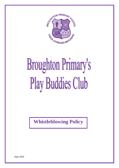

# **Broughton Primary's** Play Buddies Club

**Whistleblowing Policy**

Sept 2020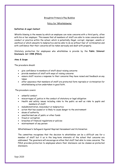# Broughton Primary's Play Buddies

# Policy for 'Whistleblowing'

# **Definition & Legal Context**

Whistle blowing is the means by which an employee can raise concerns with a third party, often with his or her employer. This means that all members of staff are able to raise concerns about conduct or practice within the school, which is potentially illegal, corrupt, improper, unsafe or unethical or which amounts to malpractice and be able to do so without fear of victimisation and with confidence that their concerns will be taken seriously and dealt with properly.

Statutory protection for employees who whistleblow is provide by the **Public Interest Disclosure Act 1998 (PIDA).**

# **Aims & Scope**

The procedure should:

- give confidence to members of staff about raising concerns
- provide members of staff with ways of raising concerns
- ensure staff receive a response to their concerns they have raised and feedback on any taken
- offer assurance that members of staff are protected form reprisals or victimisation for whistleblowing action undertaken in good faith.

The procedure covers:

- unlawful conduct
- miscarriages of justice in the conduct of statutory or legal obligation
- Health and safety issues including risks to the public as well as risks to pupils and members of staff.
- maladministration, misconduct or malpractice
- action that has caused or is likely to cause danger to the environment
- abuse of authority
- unauthorised use of public or other funds
- fraud or corruption
- breaches of financial regulations or policies
- mistreatment of any person

Whistleblower's Safeguard Against Reprisal Harassment and Victimisation

The committee recognises that the decision to whistleblow can be a difficult one for a member of staff but it us in the long-term interests of the school that concerns are addressed. The governors will encourage an ethos that staff feel able to raise concerns. The PIDA provides protection to employees where their disclosure can be classes as protected disclosure.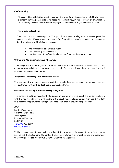# **Confidentiality**

The committee will do its utmost to protect the identity of the member of staff who raises a concern but the person disclosing needs to realise it may, in the course of an investigation be necessary to name sources and an employee could be called to give evidence in court.

### **Anonymous Allegations**

The committee will; encourage staff to put their names to allegations whenever possibleanonymous allegations are much less powerful. They will be considered under this procedure but the following will be taken into amount:

- the seriousness of the issue raised
- the credibility of the concern
- the likelihood of confirm the allegations from attributable sources

### **Untrue and Malicious/Vexatious Allegations**

If an allegation is made in good faith but not confirmed then the matter will be closed. If the allegation was malicious and or vexatious or made for personal gain then the committee will consider taking disciplinary action.

### **Allegations Concerning Child Protection Issues**

If a member of staff raises a concern related to a child protection issue, the person in charge, or registered person will contact Social Services and/or….

### **Procedure for Making a Whistleblowing Allegation**

The concern should be raised with the person in charge or if it is about the person in charge with the registered person. If the compliant is about the registered person then and if it is felt this cannot be implemented through the School/club then it should be reported to:

 $CTW$ North Wales Region Government Buildings Sarn Mynach Llandudno Junction LL31 9RZ [Tel:0300](tel:0300) 062 5609 [www.CIW.org.uk](http://www.cssiw.org.uk/)

If the concern needs to have police or other statuary authority involvement the whistle blowing process will be halted until the authorities gave completed their investigations and confirmed that it is appropriate to continue with the whistleblowing process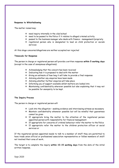# **Response to Whistleblowing**

The matter raised may:

- ❖ need inquiry internally in the club/school
- ❖ need to be passed to the Police if it relates to alleged criminal activity
- ❖ passed to the business manager who deals with finance management/propriety
- ❖ registered person who is designated to lead on child protection or socials services

At this stage concerns/allegations are neither accepted nor rejected

### **Timescale for Response**

The person in charge or registered person will provide a written response **within 5 working days** (except in the case of anonymous allegations):

- ❖ Acknowledging that the concern has been received
- ❖ Indicating how it is proposed to deal with the matter
- ❖ Giving an estimate of how long it will take to provide a final response
- ❖ Advising whether any enquires have been made
- ❖ Advising whether further enquires will take place
- ❖ Informing you of support available whilst matters are looked into
- ❖ Maintaining confidentiality wherever possible but also explaining that it may not be possible for anonymity to be kept.

### **The Inquiry Process**

The person in charge or registered person will:

- ❖ Look into the allegation seeking evidence and interviewing witness as necessary
- ❖ Maintain confidentiality whenever possible but will be mindful that guarantees cannot be given
- ❖ If appropriate bring the matter to the attention of the registered person appointed person with responsibility for financial management.
- $\div$  If appropriate for concerns of criminal behaviour refer the matter to the Police
- ❖ If appropriate refer the matter to the children protection officer at social services or

If the registered person appointed needs to talk to a member of staff they are permitted to have trade union official or professional association representative or fellow members of staff not involved their area of work..

The target is to complete the inquiry **within 10-15 working days** from the date of the initial written response.